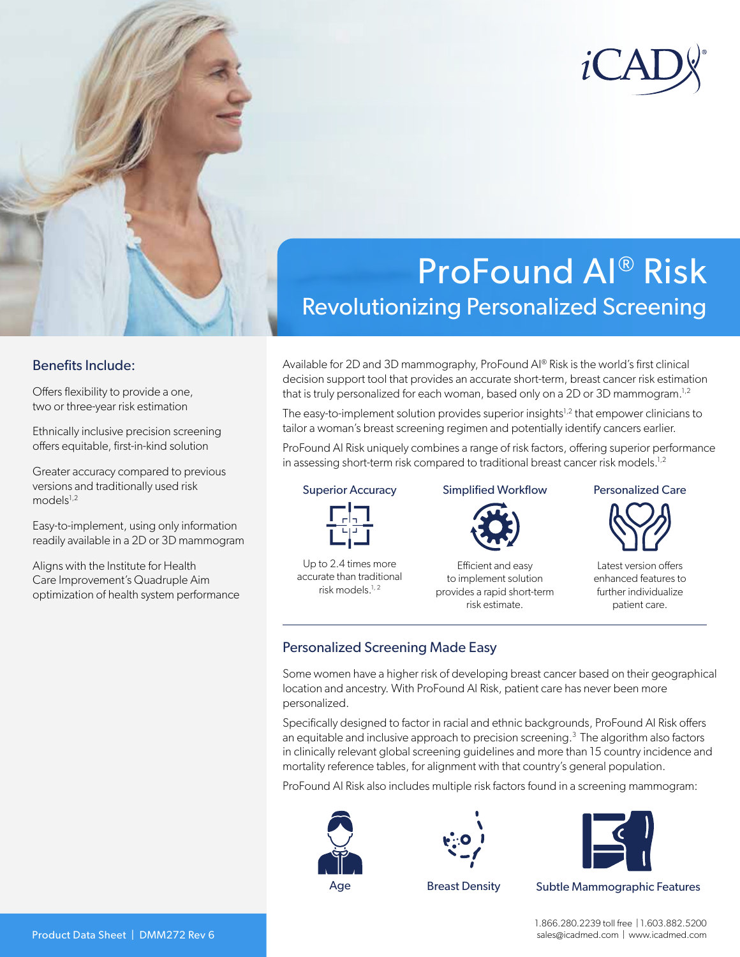

# ProFound AI® Risk Revolutionizing Personalized Screening

### Benefits Include:

Offers flexibility to provide a one, two or three-year risk estimation

Ethnically inclusive precision screening offers equitable, first-in-kind solution

Greater accuracy compared to previous versions and traditionally used risk  $models^{1,2}$ 

Easy-to-implement, using only information readily available in a 2D or 3D mammogram

Aligns with the Institute for Health Care Improvement's Quadruple Aim optimization of health system performance Available for 2D and 3D mammography, ProFound AI® Risk is the world's first clinical decision support tool that provides an accurate short-term, breast cancer risk estimation that is truly personalized for each woman, based only on a 2D or 3D mammogram.<sup>1,2</sup>

The easy-to-implement solution provides superior insights<sup>1,2</sup> that empower clinicians to tailor a woman's breast screening regimen and potentially identify cancers earlier.

ProFound AI Risk uniquely combines a range of risk factors, offering superior performance in assessing short-term risk compared to traditional breast cancer risk models.<sup>1,2</sup>

#### Superior Accuracy



Up to 2.4 times more accurate than traditional risk models.1, 2

#### Simplified Workflow



Efficient and easy to implement solution provides a rapid short-term risk estimate.

#### Personalized Care



Latest version offers enhanced features to further individualize patient care.

## Personalized Screening Made Easy

Some women have a higher risk of developing breast cancer based on their geographical location and ancestry. With ProFound AI Risk, patient care has never been more personalized.

Specifically designed to factor in racial and ethnic backgrounds, ProFound AI Risk offers an equitable and inclusive approach to precision screening.<sup>3</sup> The algorithm also factors in clinically relevant global screening guidelines and more than 15 country incidence and mortality reference tables, for alignment with that country's general population.

ProFound AI Risk also includes multiple risk factors found in a screening mammogram:







Age Breast Density Subtle Mammographic Features

1.866.280.2239 toll free | 1.603.882.5200 sales@icadmed.com | www.icadmed.com